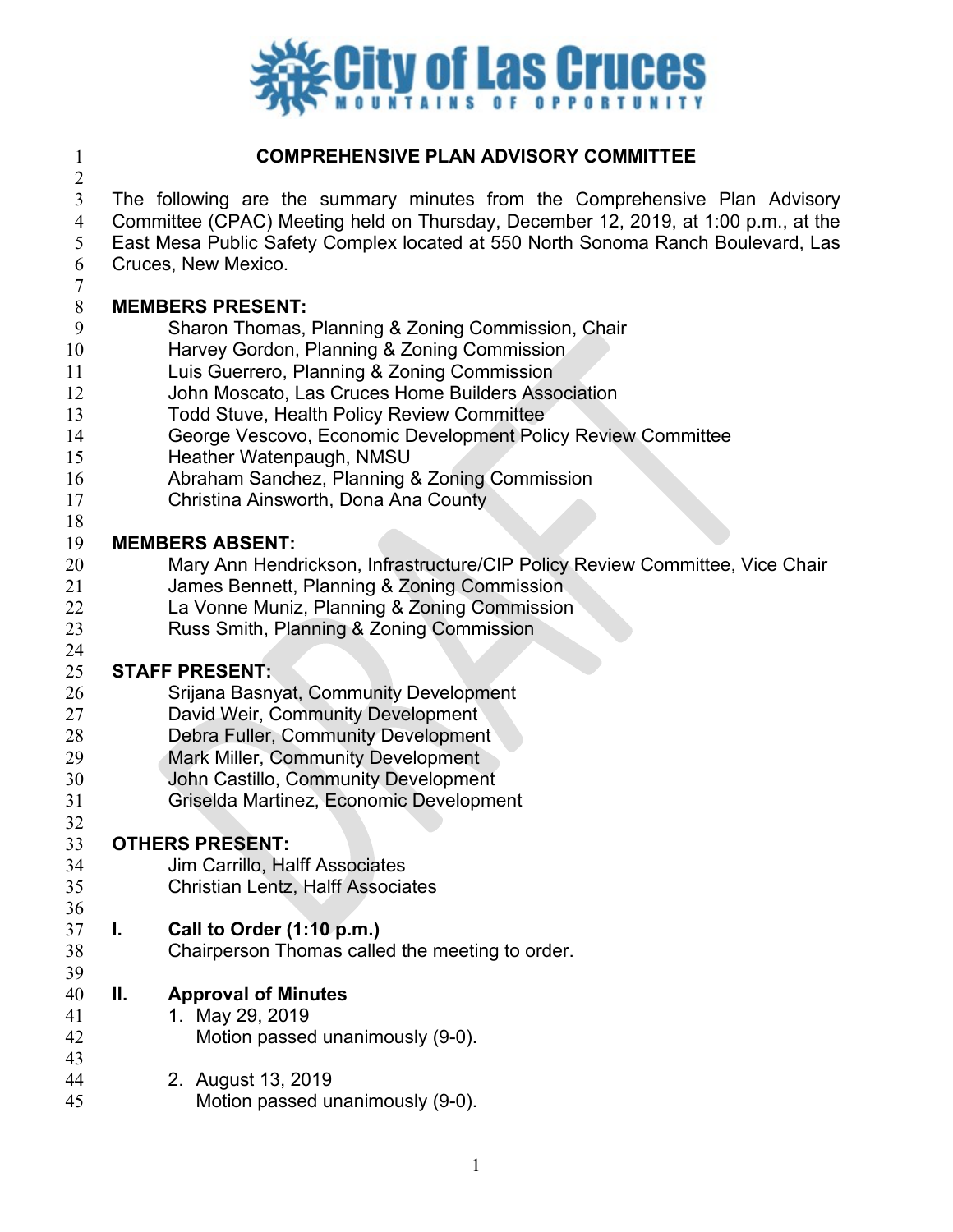

### **COMPREHENSIVE PLAN ADVISORY COMMITTEE**

 The following are the summary minutes from the Comprehensive Plan Advisory Committee (CPAC) Meeting held on Thursday, December 12, 2019, at 1:00 p.m., at the

East Mesa Public Safety Complex located at 550 North Sonoma Ranch Boulevard, Las

Cruces, New Mexico.

#### **MEMBERS PRESENT:**

- Sharon Thomas, Planning & Zoning Commission, Chair
- Harvey Gordon, Planning & Zoning Commission
- Luis Guerrero, Planning & Zoning Commission
- John Moscato, Las Cruces Home Builders Association
- Todd Stuve, Health Policy Review Committee
- George Vescovo, Economic Development Policy Review Committee
- Heather Watenpaugh, NMSU
- Abraham Sanchez, Planning & Zoning Commission
- Christina Ainsworth, Dona Ana County
- 

- **MEMBERS ABSENT:**  Mary Ann Hendrickson, Infrastructure/CIP Policy Review Committee, Vice Chair
- James Bennett, Planning & Zoning Commission
- La Vonne Muniz, Planning & Zoning Commission
- Russ Smith, Planning & Zoning Commission

#### **STAFF PRESENT:**

- Srijana Basnyat, Community Development
- David Weir, Community Development
- Debra Fuller, Community Development
- Mark Miller, Community Development
- John Castillo, Community Development
- Griselda Martinez, Economic Development

- **OTHERS PRESENT:** Jim Carrillo, Halff Associates
- Christian Lentz, Halff Associates

#### **I. Call to Order (1:10 p.m.)**

- Chairperson Thomas called the meeting to order.
- **II. Approval of Minutes**
- 1. May 29, 2019
- Motion passed unanimously (9-0).
- 2. August 13, 2019 Motion passed unanimously (9-0).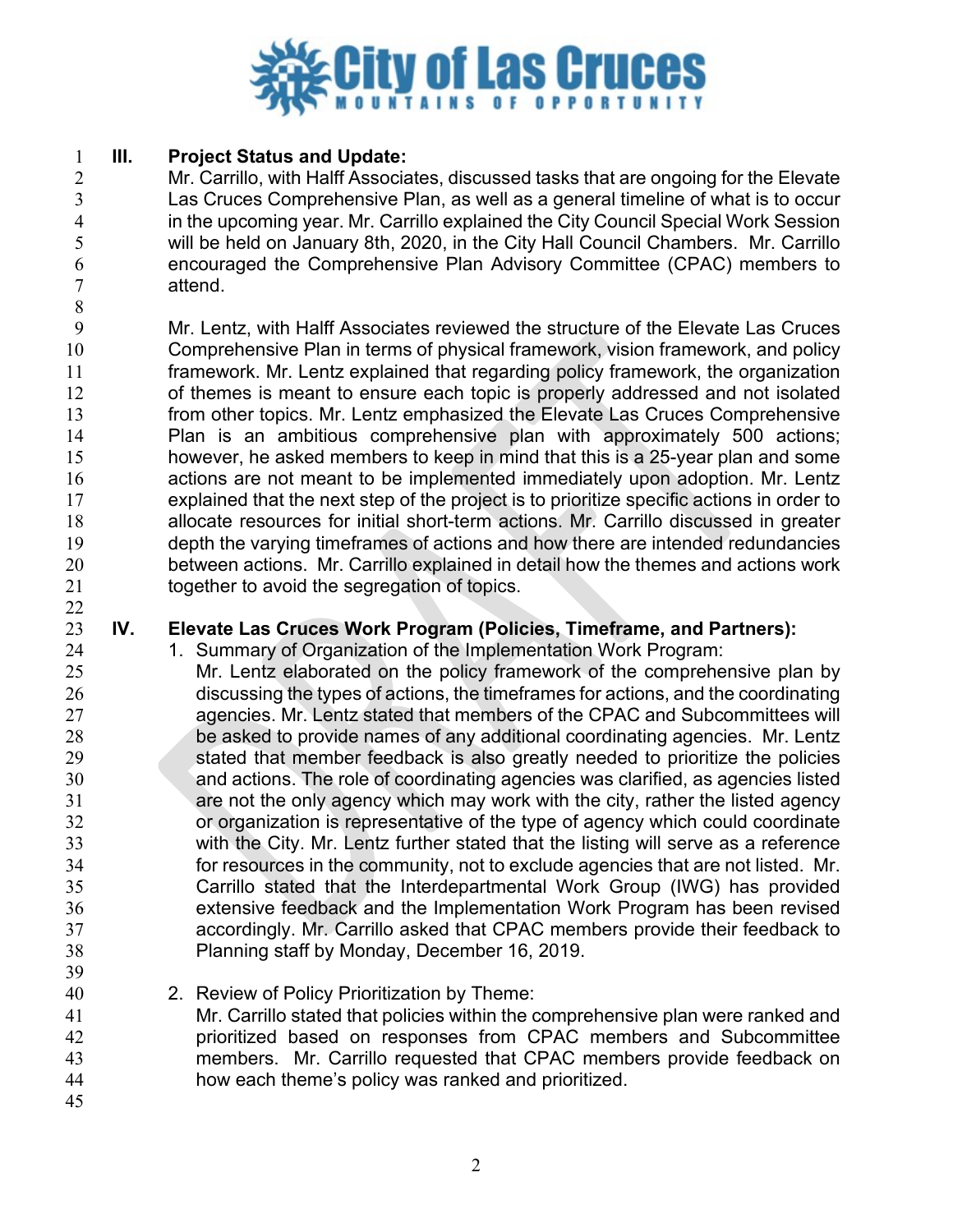

#### **III. Project Status and Update:**

 Mr. Carrillo, with Halff Associates, discussed tasks that are ongoing for the Elevate Las Cruces Comprehensive Plan, as well as a general timeline of what is to occur 4 in the upcoming year. Mr. Carrillo explained the City Council Special Work Session<br>5 will be held on January 8th, 2020, in the City Hall Council Chambers. Mr. Carrillo will be held on January 8th, 2020, in the City Hall Council Chambers. Mr. Carrillo encouraged the Comprehensive Plan Advisory Committee (CPAC) members to attend.

 Mr. Lentz, with Halff Associates reviewed the structure of the Elevate Las Cruces Comprehensive Plan in terms of physical framework, vision framework, and policy framework. Mr. Lentz explained that regarding policy framework, the organization of themes is meant to ensure each topic is properly addressed and not isolated from other topics. Mr. Lentz emphasized the Elevate Las Cruces Comprehensive Plan is an ambitious comprehensive plan with approximately 500 actions; however, he asked members to keep in mind that this is a 25-year plan and some actions are not meant to be implemented immediately upon adoption. Mr. Lentz explained that the next step of the project is to prioritize specific actions in order to allocate resources for initial short-term actions. Mr. Carrillo discussed in greater depth the varying timeframes of actions and how there are intended redundancies between actions. Mr. Carrillo explained in detail how the themes and actions work together to avoid the segregation of topics. 

### **IV. Elevate Las Cruces Work Program (Policies, Timeframe, and Partners):**

- 24 1. Summary of Organization of the Implementation Work Program:
- Mr. Lentz elaborated on the policy framework of the comprehensive plan by discussing the types of actions, the timeframes for actions, and the coordinating agencies. Mr. Lentz stated that members of the CPAC and Subcommittees will be asked to provide names of any additional coordinating agencies. Mr. Lentz stated that member feedback is also greatly needed to prioritize the policies and actions. The role of coordinating agencies was clarified, as agencies listed are not the only agency which may work with the city, rather the listed agency or organization is representative of the type of agency which could coordinate with the City. Mr. Lentz further stated that the listing will serve as a reference for resources in the community, not to exclude agencies that are not listed. Mr. Carrillo stated that the Interdepartmental Work Group (IWG) has provided extensive feedback and the Implementation Work Program has been revised accordingly. Mr. Carrillo asked that CPAC members provide their feedback to Planning staff by Monday, December 16, 2019.
- 2. Review of Policy Prioritization by Theme:
- Mr. Carrillo stated that policies within the comprehensive plan were ranked and prioritized based on responses from CPAC members and Subcommittee members. Mr. Carrillo requested that CPAC members provide feedback on how each theme's policy was ranked and prioritized.
-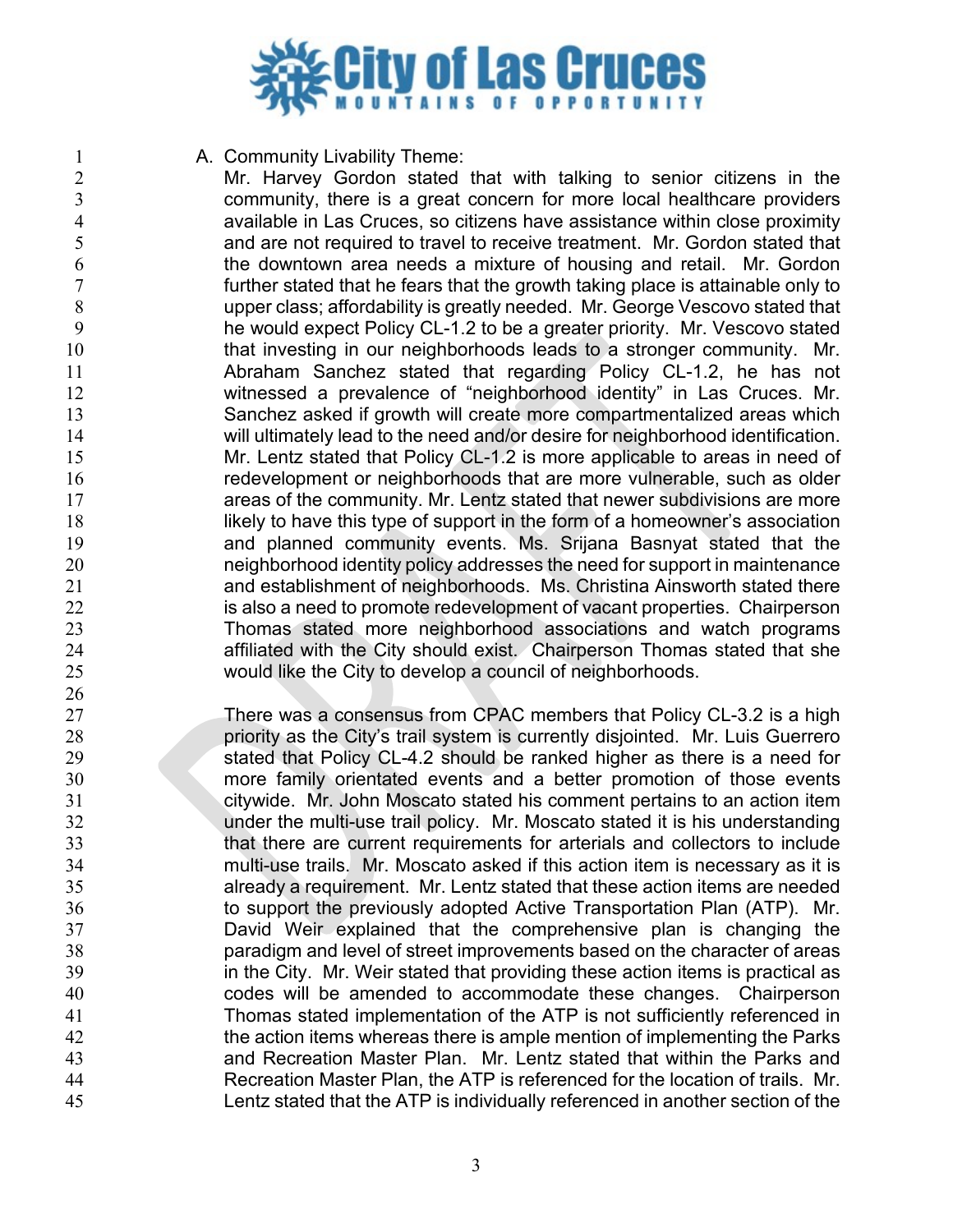

**A. Community Livability Theme:** 

2 Mr. Harvey Gordon stated that with talking to senior citizens in the<br>3 community, there is a great concern for more local healthcare providers community, there is a great concern for more local healthcare providers 4 available in Las Cruces, so citizens have assistance within close proximity<br>and are not required to travel to receive treatment. Mr. Gordon stated that and are not required to travel to receive treatment. Mr. Gordon stated that the downtown area needs a mixture of housing and retail. Mr. Gordon further stated that he fears that the growth taking place is attainable only to upper class; affordability is greatly needed. Mr. George Vescovo stated that he would expect Policy CL-1.2 to be a greater priority. Mr. Vescovo stated 10 that investing in our neighborhoods leads to a stronger community. Mr. Abraham Sanchez stated that regarding Policy CL-1.2, he has not witnessed a prevalence of "neighborhood identity" in Las Cruces. Mr. Sanchez asked if growth will create more compartmentalized areas which will ultimately lead to the need and/or desire for neighborhood identification. Mr. Lentz stated that Policy CL-1.2 is more applicable to areas in need of redevelopment or neighborhoods that are more vulnerable, such as older areas of the community. Mr. Lentz stated that newer subdivisions are more 18 likely to have this type of support in the form of a homeowner's association and planned community events. Ms. Srijana Basnyat stated that the neighborhood identity policy addresses the need for support in maintenance and establishment of neighborhoods. Ms. Christina Ainsworth stated there 22 is also a need to promote redevelopment of vacant properties. Chairperson Thomas stated more neighborhood associations and watch programs affiliated with the City should exist. Chairperson Thomas stated that she would like the City to develop a council of neighborhoods.

 There was a consensus from CPAC members that Policy CL-3.2 is a high priority as the City's trail system is currently disjointed. Mr. Luis Guerrero stated that Policy CL-4.2 should be ranked higher as there is a need for more family orientated events and a better promotion of those events citywide. Mr. John Moscato stated his comment pertains to an action item under the multi-use trail policy. Mr. Moscato stated it is his understanding that there are current requirements for arterials and collectors to include multi-use trails. Mr. Moscato asked if this action item is necessary as it is already a requirement. Mr. Lentz stated that these action items are needed to support the previously adopted Active Transportation Plan (ATP). Mr. David Weir explained that the comprehensive plan is changing the paradigm and level of street improvements based on the character of areas 39 in the City. Mr. Weir stated that providing these action items is practical as codes will be amended to accommodate these changes. Chairperson Thomas stated implementation of the ATP is not sufficiently referenced in 42 the action items whereas there is ample mention of implementing the Parks and Recreation Master Plan. Mr. Lentz stated that within the Parks and Recreation Master Plan, the ATP is referenced for the location of trails. Mr. Lentz stated that the ATP is individually referenced in another section of the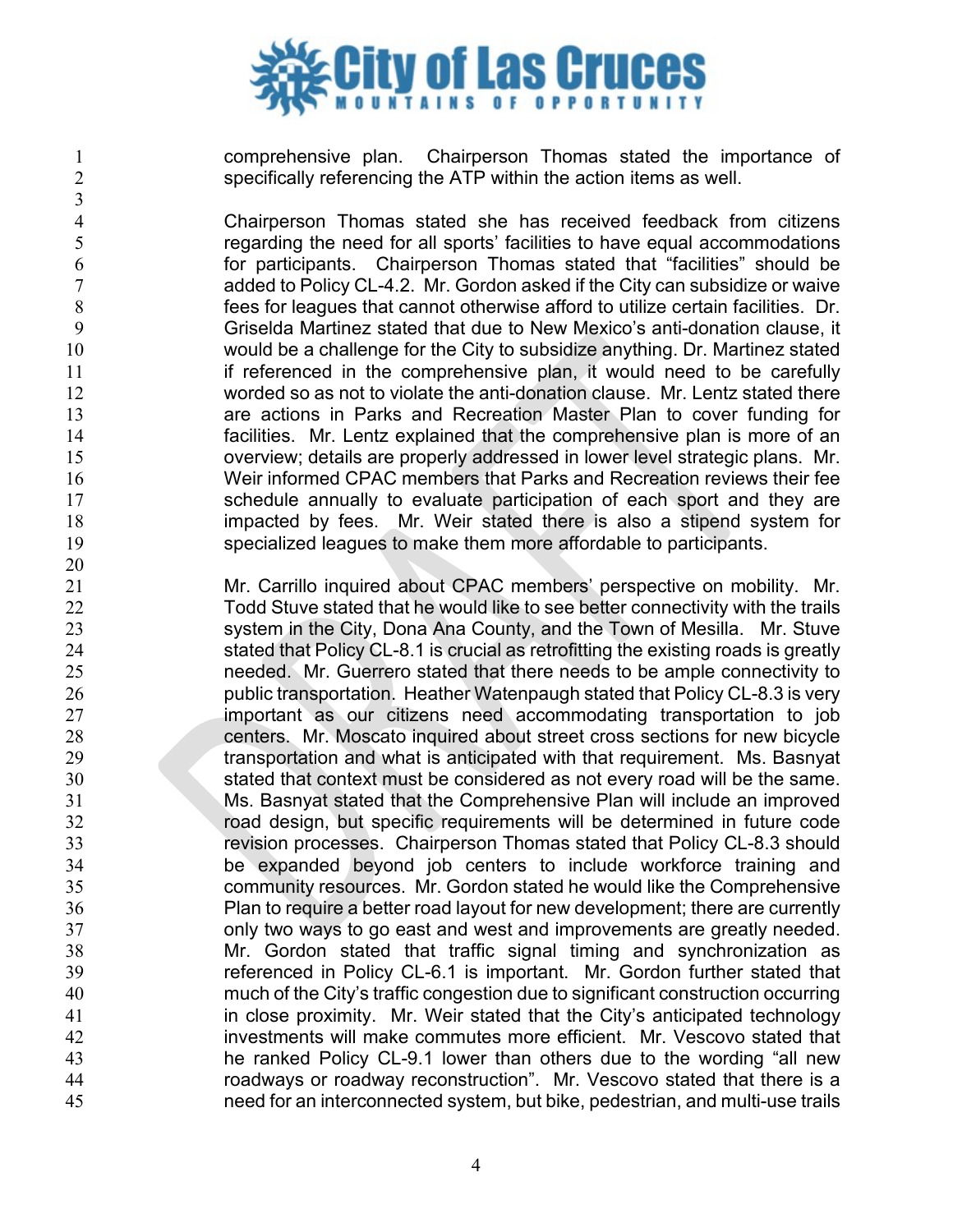

 comprehensive plan. Chairperson Thomas stated the importance of specifically referencing the ATP within the action items as well.

4 Chairperson Thomas stated she has received feedback from citizens<br>5 setting the need for all sports' facilities to have equal accommodations regarding the need for all sports' facilities to have equal accommodations for participants. Chairperson Thomas stated that "facilities" should be added to Policy CL-4.2. Mr. Gordon asked if the City can subsidize or waive fees for leagues that cannot otherwise afford to utilize certain facilities. Dr. Griselda Martinez stated that due to New Mexico's anti-donation clause, it would be a challenge for the City to subsidize anything. Dr. Martinez stated **if referenced in the comprehensive plan, it would need to be carefully**  worded so as not to violate the anti-donation clause. Mr. Lentz stated there are actions in Parks and Recreation Master Plan to cover funding for facilities. Mr. Lentz explained that the comprehensive plan is more of an overview; details are properly addressed in lower level strategic plans. Mr. Weir informed CPAC members that Parks and Recreation reviews their fee 17 schedule annually to evaluate participation of each sport and they are impacted by fees. Mr. Weir stated there is also a stipend system for specialized leagues to make them more affordable to participants.

 Mr. Carrillo inquired about CPAC members' perspective on mobility. Mr. 22 Todd Stuve stated that he would like to see better connectivity with the trails system in the City, Dona Ana County, and the Town of Mesilla. Mr. Stuve stated that Policy CL-8.1 is crucial as retrofitting the existing roads is greatly needed. Mr. Guerrero stated that there needs to be ample connectivity to public transportation. Heather Watenpaugh stated that Policy CL-8.3 is very important as our citizens need accommodating transportation to job centers. Mr. Moscato inquired about street cross sections for new bicycle 29 transportation and what is anticipated with that requirement. Ms. Basnyat stated that context must be considered as not every road will be the same. Ms. Basnyat stated that the Comprehensive Plan will include an improved road design, but specific requirements will be determined in future code revision processes. Chairperson Thomas stated that Policy CL-8.3 should be expanded beyond job centers to include workforce training and community resources. Mr. Gordon stated he would like the Comprehensive Plan to require a better road layout for new development; there are currently only two ways to go east and west and improvements are greatly needed. Mr. Gordon stated that traffic signal timing and synchronization as referenced in Policy CL-6.1 is important. Mr. Gordon further stated that much of the City's traffic congestion due to significant construction occurring in close proximity. Mr. Weir stated that the City's anticipated technology investments will make commutes more efficient. Mr. Vescovo stated that he ranked Policy CL-9.1 lower than others due to the wording "all new roadways or roadway reconstruction". Mr. Vescovo stated that there is a need for an interconnected system, but bike, pedestrian, and multi-use trails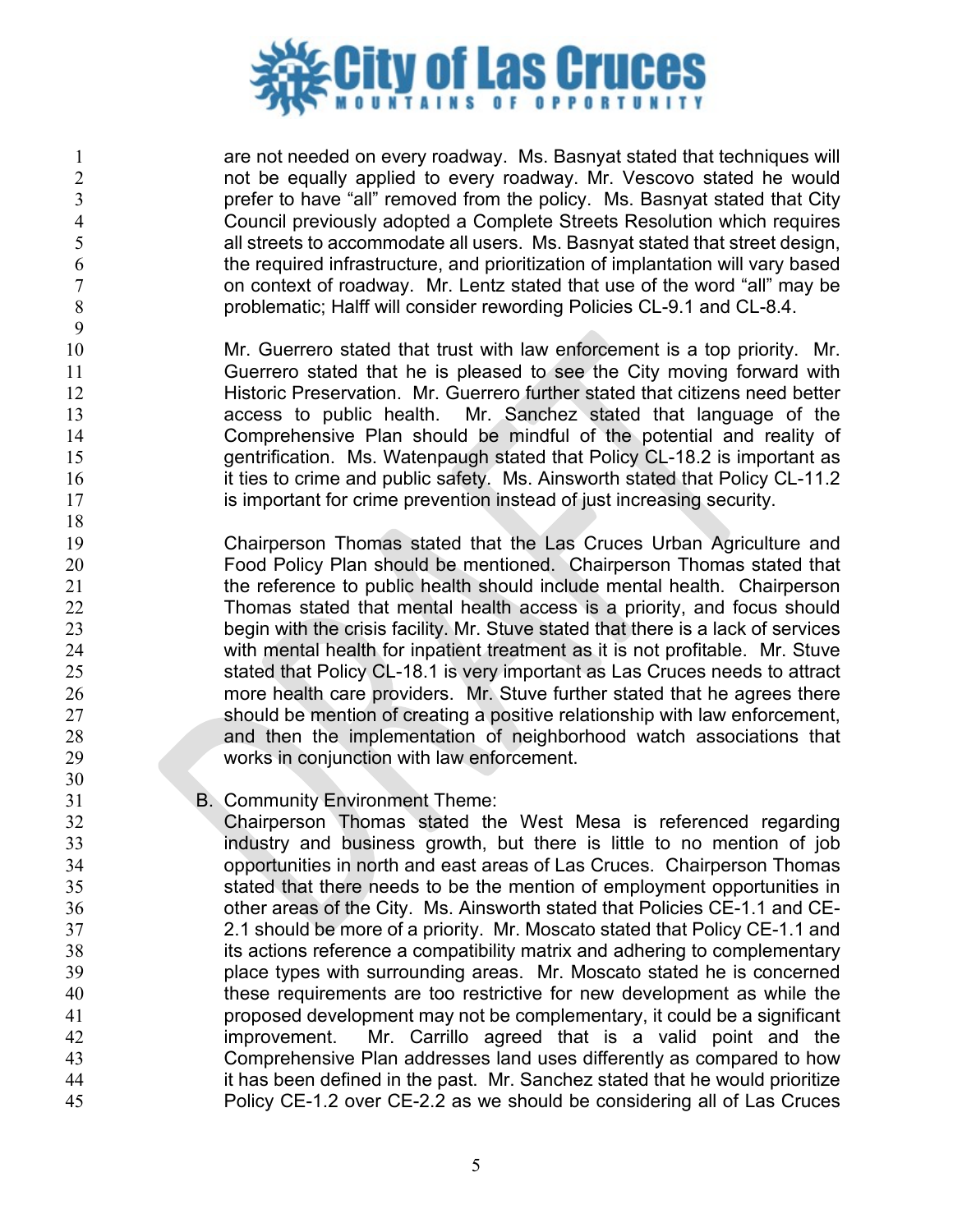

 are not needed on every roadway. Ms. Basnyat stated that techniques will not be equally applied to every roadway. Mr. Vescovo stated he would prefer to have "all" removed from the policy. Ms. Basnyat stated that City 4 Council previously adopted a Complete Streets Resolution which requires<br>5 all streets to accommodate all users. Ms. Basnyat stated that street design, all streets to accommodate all users. Ms. Basnyat stated that street design, the required infrastructure, and prioritization of implantation will vary based on context of roadway. Mr. Lentz stated that use of the word "all" may be problematic; Halff will consider rewording Policies CL-9.1 and CL-8.4.

 Mr. Guerrero stated that trust with law enforcement is a top priority. Mr. Guerrero stated that he is pleased to see the City moving forward with Historic Preservation. Mr. Guerrero further stated that citizens need better access to public health. Mr. Sanchez stated that language of the Comprehensive Plan should be mindful of the potential and reality of gentrification. Ms. Watenpaugh stated that Policy CL-18.2 is important as 16 it ties to crime and public safety. Ms. Ainsworth stated that Policy CL-11.2 17 is important for crime prevention instead of just increasing security.

 Chairperson Thomas stated that the Las Cruces Urban Agriculture and Food Policy Plan should be mentioned. Chairperson Thomas stated that the reference to public health should include mental health. Chairperson Thomas stated that mental health access is a priority, and focus should begin with the crisis facility. Mr. Stuve stated that there is a lack of services with mental health for inpatient treatment as it is not profitable. Mr. Stuve stated that Policy CL-18.1 is very important as Las Cruces needs to attract more health care providers. Mr. Stuve further stated that he agrees there should be mention of creating a positive relationship with law enforcement, and then the implementation of neighborhood watch associations that works in conjunction with law enforcement.

B. Community Environment Theme:

 Chairperson Thomas stated the West Mesa is referenced regarding industry and business growth, but there is little to no mention of job opportunities in north and east areas of Las Cruces. Chairperson Thomas stated that there needs to be the mention of employment opportunities in other areas of the City. Ms. Ainsworth stated that Policies CE-1.1 and CE- 2.1 should be more of a priority. Mr. Moscato stated that Policy CE-1.1 and its actions reference a compatibility matrix and adhering to complementary place types with surrounding areas. Mr. Moscato stated he is concerned these requirements are too restrictive for new development as while the proposed development may not be complementary, it could be a significant improvement. Mr. Carrillo agreed that is a valid point and the Comprehensive Plan addresses land uses differently as compared to how it has been defined in the past. Mr. Sanchez stated that he would prioritize Policy CE-1.2 over CE-2.2 as we should be considering all of Las Cruces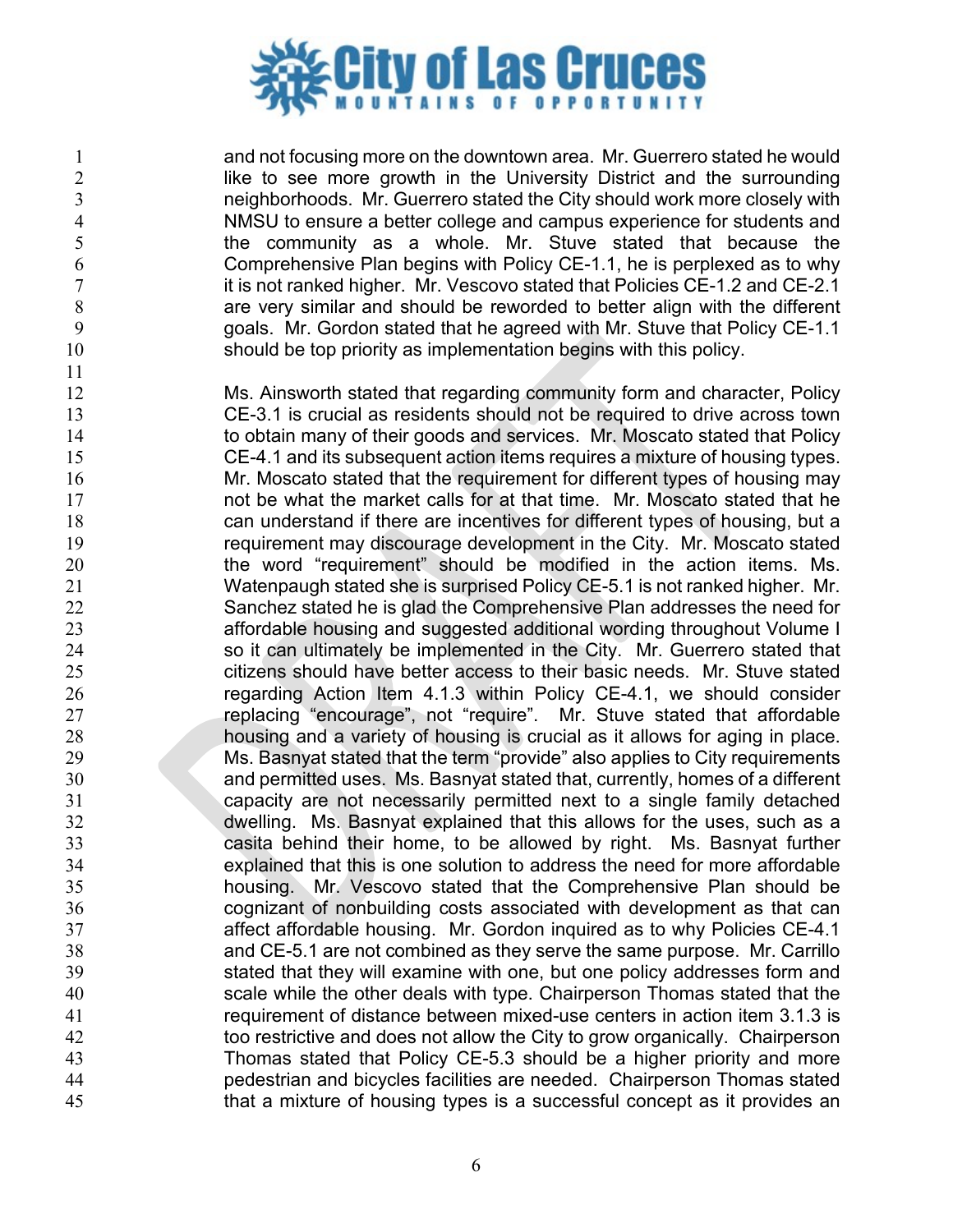

 and not focusing more on the downtown area. Mr. Guerrero stated he would 2 like to see more growth in the University District and the surrounding<br>3 meighborhoods. Mr. Guerrero stated the City should work more closely with neighborhoods. Mr. Guerrero stated the City should work more closely with 4 MMSU to ensure a better college and campus experience for students and<br>
the community as a whole. Mr. Stuve stated that because the the community as a whole. Mr. Stuve stated that because the Comprehensive Plan begins with Policy CE-1.1, he is perplexed as to why 7 it is not ranked higher. Mr. Vescovo stated that Policies CE-1.2 and CE-2.1 are very similar and should be reworded to better align with the different goals. Mr. Gordon stated that he agreed with Mr. Stuve that Policy CE-1.1 should be top priority as implementation begins with this policy.

 Ms. Ainsworth stated that regarding community form and character, Policy CE-3.1 is crucial as residents should not be required to drive across town 14 to obtain many of their goods and services. Mr. Moscato stated that Policy CE-4.1 and its subsequent action items requires a mixture of housing types. **Mr. Moscato stated that the requirement for different types of housing may**  not be what the market calls for at that time. Mr. Moscato stated that he can understand if there are incentives for different types of housing, but a requirement may discourage development in the City. Mr. Moscato stated 20 the word "requirement" should be modified in the action items. Ms. Watenpaugh stated she is surprised Policy CE-5.1 is not ranked higher. Mr. Sanchez stated he is glad the Comprehensive Plan addresses the need for affordable housing and suggested additional wording throughout Volume I 24 so it can ultimately be implemented in the City. Mr. Guerrero stated that citizens should have better access to their basic needs. Mr. Stuve stated regarding Action Item 4.1.3 within Policy CE-4.1, we should consider replacing "encourage", not "require". Mr. Stuve stated that affordable housing and a variety of housing is crucial as it allows for aging in place. Ms. Basnyat stated that the term "provide" also applies to City requirements and permitted uses. Ms. Basnyat stated that, currently, homes of a different capacity are not necessarily permitted next to a single family detached dwelling. Ms. Basnyat explained that this allows for the uses, such as a casita behind their home, to be allowed by right. Ms. Basnyat further explained that this is one solution to address the need for more affordable housing. Mr. Vescovo stated that the Comprehensive Plan should be cognizant of nonbuilding costs associated with development as that can affect affordable housing. Mr. Gordon inquired as to why Policies CE-4.1 and CE-5.1 are not combined as they serve the same purpose. Mr. Carrillo stated that they will examine with one, but one policy addresses form and scale while the other deals with type. Chairperson Thomas stated that the requirement of distance between mixed-use centers in action item 3.1.3 is too restrictive and does not allow the City to grow organically. Chairperson Thomas stated that Policy CE-5.3 should be a higher priority and more pedestrian and bicycles facilities are needed. Chairperson Thomas stated that a mixture of housing types is a successful concept as it provides an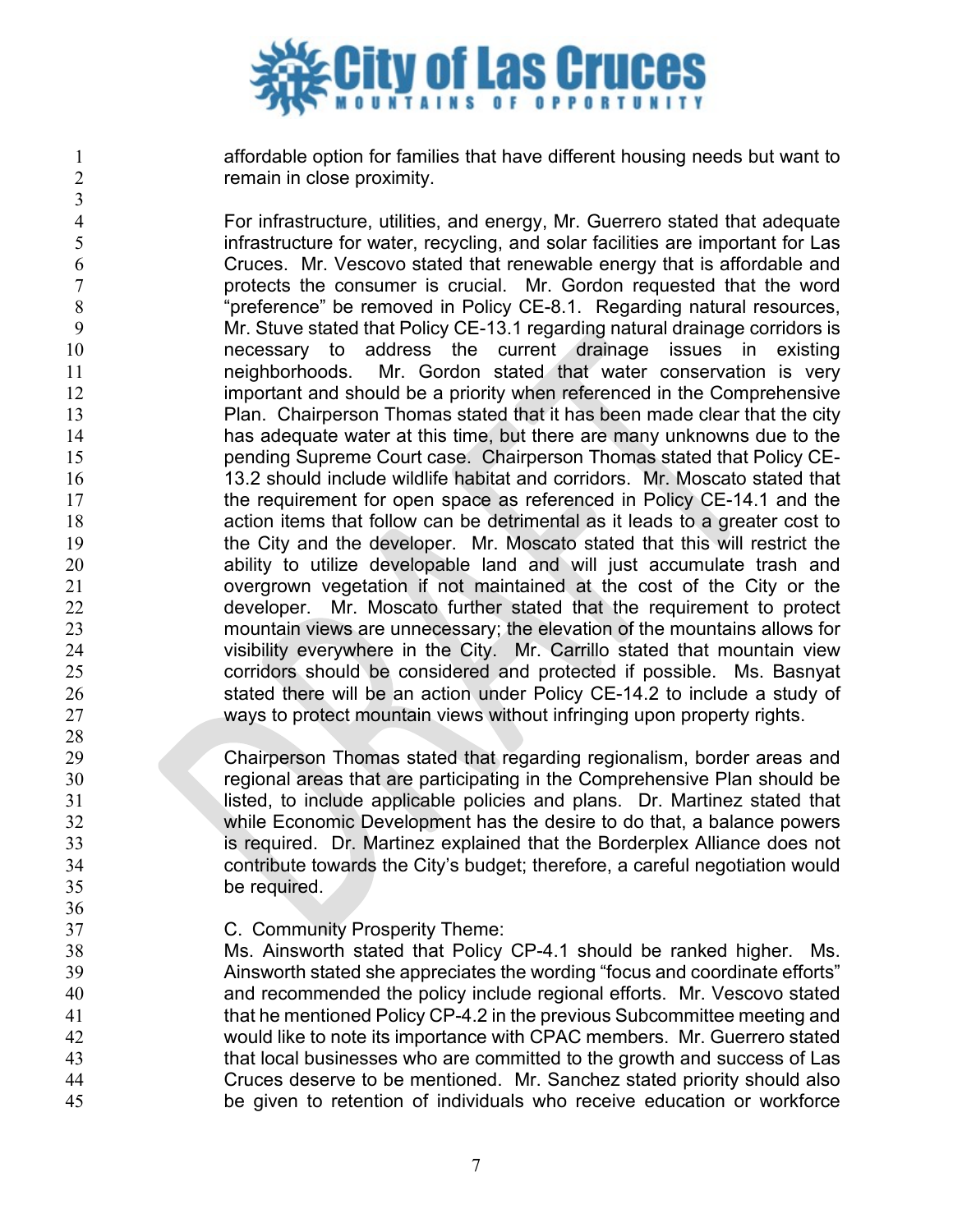

 affordable option for families that have different housing needs but want to remain in close proximity.

 For infrastructure, utilities, and energy, Mr. Guerrero stated that adequate infrastructure for water, recycling, and solar facilities are important for Las Cruces. Mr. Vescovo stated that renewable energy that is affordable and protects the consumer is crucial. Mr. Gordon requested that the word "preference" be removed in Policy CE-8.1. Regarding natural resources, Mr. Stuve stated that Policy CE-13.1 regarding natural drainage corridors is necessary to address the current drainage issues in existing neighborhoods. Mr. Gordon stated that water conservation is very **important and should be a priority when referenced in the Comprehensive**  Plan. Chairperson Thomas stated that it has been made clear that the city has adequate water at this time, but there are many unknowns due to the pending Supreme Court case. Chairperson Thomas stated that Policy CE- 13.2 should include wildlife habitat and corridors. Mr. Moscato stated that 17 the requirement for open space as referenced in Policy CE-14.1 and the action items that follow can be detrimental as it leads to a greater cost to the City and the developer. Mr. Moscato stated that this will restrict the ability to utilize developable land and will just accumulate trash and overgrown vegetation if not maintained at the cost of the City or the developer. Mr. Moscato further stated that the requirement to protect mountain views are unnecessary; the elevation of the mountains allows for visibility everywhere in the City. Mr. Carrillo stated that mountain view corridors should be considered and protected if possible. Ms. Basnyat stated there will be an action under Policy CE-14.2 to include a study of ways to protect mountain views without infringing upon property rights.

 Chairperson Thomas stated that regarding regionalism, border areas and regional areas that are participating in the Comprehensive Plan should be **1** listed, to include applicable policies and plans. Dr. Martinez stated that while Economic Development has the desire to do that, a balance powers is required. Dr. Martinez explained that the Borderplex Alliance does not contribute towards the City's budget; therefore, a careful negotiation would be required.

C. Community Prosperity Theme:

 Ms. Ainsworth stated that Policy CP-4.1 should be ranked higher. Ms. Ainsworth stated she appreciates the wording "focus and coordinate efforts" and recommended the policy include regional efforts. Mr. Vescovo stated that he mentioned Policy CP-4.2 in the previous Subcommittee meeting and would like to note its importance with CPAC members. Mr. Guerrero stated that local businesses who are committed to the growth and success of Las Cruces deserve to be mentioned. Mr. Sanchez stated priority should also be given to retention of individuals who receive education or workforce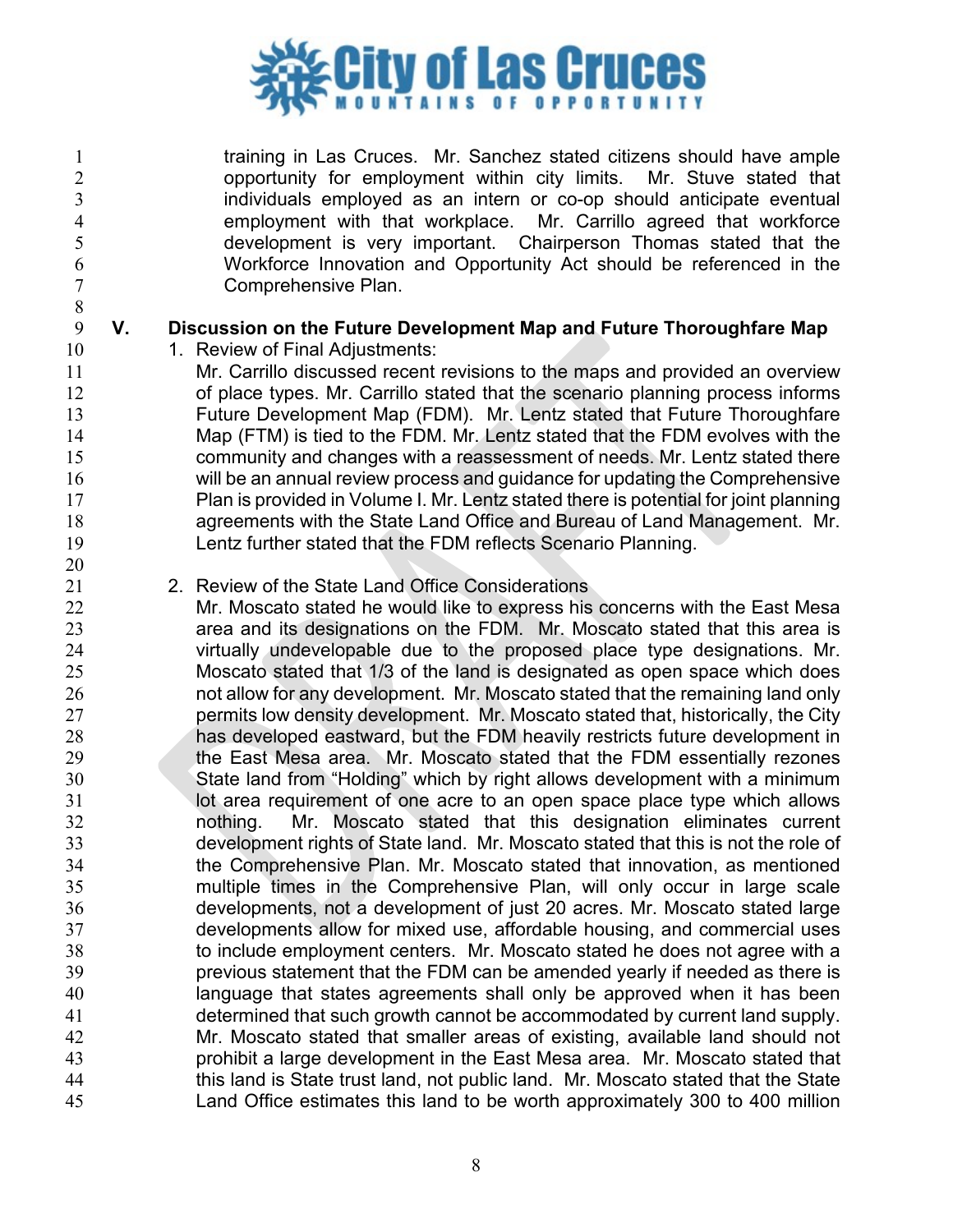

 training in Las Cruces. Mr. Sanchez stated citizens should have ample 2 opportunity for employment within city limits. Mr. Stuve stated that<br>3 individuals employed as an intern or co-op should anticipate eventual individuals employed as an intern or co-op should anticipate eventual 4 employment with that workplace. Mr. Carrillo agreed that workforce<br>development is very important. Chairperson Thomas stated that the development is very important. Chairperson Thomas stated that the Workforce Innovation and Opportunity Act should be referenced in the Comprehensive Plan.

### **V. Discussion on the Future Development Map and Future Thoroughfare Map**

10 1. Review of Final Adjustments:

- Mr. Carrillo discussed recent revisions to the maps and provided an overview of place types. Mr. Carrillo stated that the scenario planning process informs Future Development Map (FDM). Mr. Lentz stated that Future Thoroughfare Map (FTM) is tied to the FDM. Mr. Lentz stated that the FDM evolves with the community and changes with a reassessment of needs. Mr. Lentz stated there will be an annual review process and guidance for updating the Comprehensive Plan is provided in Volume I. Mr. Lentz stated there is potential for joint planning agreements with the State Land Office and Bureau of Land Management. Mr. Lentz further stated that the FDM reflects Scenario Planning.
- 2. Review of the State Land Office Considerations
- Mr. Moscato stated he would like to express his concerns with the East Mesa area and its designations on the FDM. Mr. Moscato stated that this area is virtually undevelopable due to the proposed place type designations. Mr. Moscato stated that 1/3 of the land is designated as open space which does not allow for any development. Mr. Moscato stated that the remaining land only 27 permits low density development. Mr. Moscato stated that, historically, the City has developed eastward, but the FDM heavily restricts future development in 29 the East Mesa area. Mr. Moscato stated that the FDM essentially rezones State land from "Holding" which by right allows development with a minimum **lot area requirement of one acre to an open space place type which allows**  nothing. Mr. Moscato stated that this designation eliminates current development rights of State land. Mr. Moscato stated that this is not the role of the Comprehensive Plan. Mr. Moscato stated that innovation, as mentioned multiple times in the Comprehensive Plan, will only occur in large scale developments, not a development of just 20 acres. Mr. Moscato stated large developments allow for mixed use, affordable housing, and commercial uses to include employment centers. Mr. Moscato stated he does not agree with a previous statement that the FDM can be amended yearly if needed as there is language that states agreements shall only be approved when it has been determined that such growth cannot be accommodated by current land supply. Mr. Moscato stated that smaller areas of existing, available land should not prohibit a large development in the East Mesa area. Mr. Moscato stated that this land is State trust land, not public land. Mr. Moscato stated that the State Land Office estimates this land to be worth approximately 300 to 400 million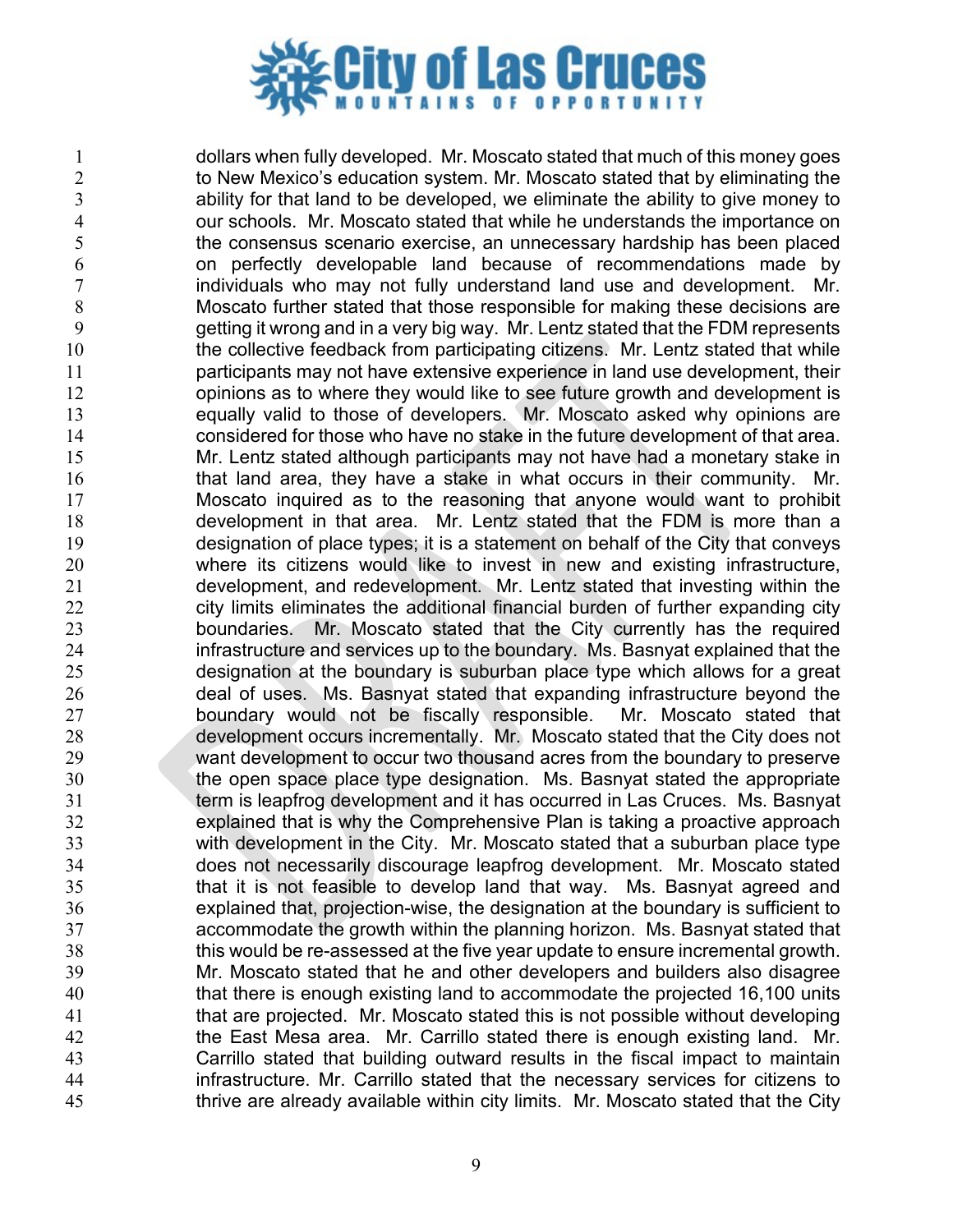

 dollars when fully developed. Mr. Moscato stated that much of this money goes 2 to New Mexico's education system. Mr. Moscato stated that by eliminating the ability for that land to be developed, we eliminate the ability to give money to 4 our schools. Mr. Moscato stated that while he understands the importance on<br>the consensus scenario exercise, an unnecessary hardship has been placed the consensus scenario exercise, an unnecessary hardship has been placed on perfectly developable land because of recommendations made by individuals who may not fully understand land use and development. Mr. Moscato further stated that those responsible for making these decisions are getting it wrong and in a very big way. Mr. Lentz stated that the FDM represents 10 the collective feedback from participating citizens. Mr. Lentz stated that while participants may not have extensive experience in land use development, their 12 opinions as to where they would like to see future growth and development is equally valid to those of developers. Mr. Moscato asked why opinions are considered for those who have no stake in the future development of that area. Mr. Lentz stated although participants may not have had a monetary stake in 16 that land area, they have a stake in what occurs in their community. Mr. Moscato inquired as to the reasoning that anyone would want to prohibit development in that area. Mr. Lentz stated that the FDM is more than a designation of place types; it is a statement on behalf of the City that conveys where its citizens would like to invest in new and existing infrastructure, development, and redevelopment. Mr. Lentz stated that investing within the 22 city limits eliminates the additional financial burden of further expanding city boundaries. Mr. Moscato stated that the City currently has the required infrastructure and services up to the boundary. Ms. Basnyat explained that the designation at the boundary is suburban place type which allows for a great deal of uses. Ms. Basnyat stated that expanding infrastructure beyond the 27 boundary would not be fiscally responsible. Mr. Moscato stated that development occurs incrementally. Mr. Moscato stated that the City does not want development to occur two thousand acres from the boundary to preserve the open space place type designation. Ms. Basnyat stated the appropriate term is leapfrog development and it has occurred in Las Cruces. Ms. Basnyat explained that is why the Comprehensive Plan is taking a proactive approach with development in the City. Mr. Moscato stated that a suburban place type does not necessarily discourage leapfrog development. Mr. Moscato stated that it is not feasible to develop land that way. Ms. Basnyat agreed and explained that, projection-wise, the designation at the boundary is sufficient to accommodate the growth within the planning horizon. Ms. Basnyat stated that this would be re-assessed at the five year update to ensure incremental growth. Mr. Moscato stated that he and other developers and builders also disagree that there is enough existing land to accommodate the projected 16,100 units that are projected. Mr. Moscato stated this is not possible without developing the East Mesa area. Mr. Carrillo stated there is enough existing land. Mr. Carrillo stated that building outward results in the fiscal impact to maintain infrastructure. Mr. Carrillo stated that the necessary services for citizens to thrive are already available within city limits. Mr. Moscato stated that the City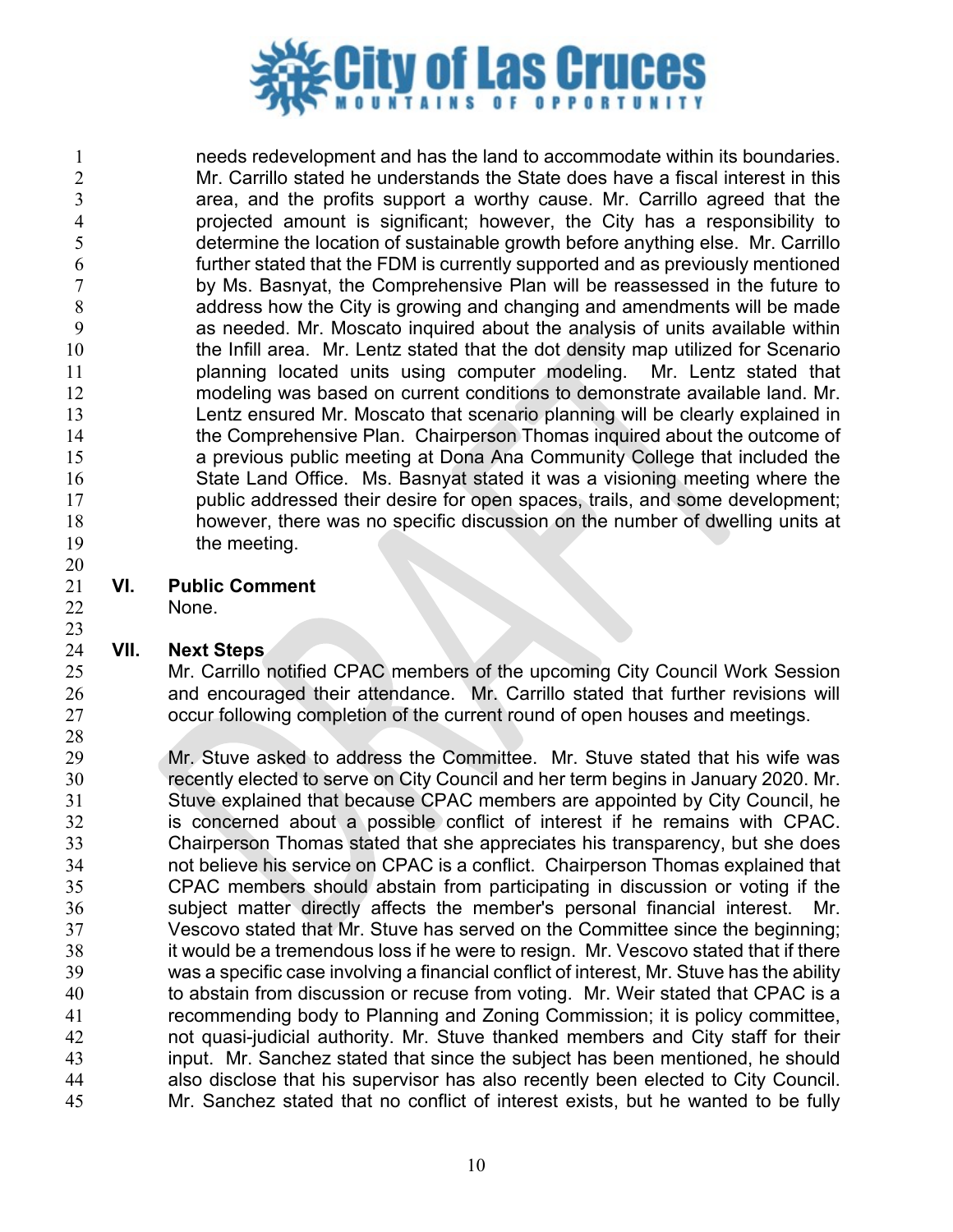

 needs redevelopment and has the land to accommodate within its boundaries. Mr. Carrillo stated he understands the State does have a fiscal interest in this area, and the profits support a worthy cause. Mr. Carrillo agreed that the projected amount is significant; however, the City has a responsibility to determine the location of sustainable growth before anything else. Mr. Carrillo further stated that the FDM is currently supported and as previously mentioned by Ms. Basnyat, the Comprehensive Plan will be reassessed in the future to address how the City is growing and changing and amendments will be made as needed. Mr. Moscato inquired about the analysis of units available within 10 the Infill area. Mr. Lentz stated that the dot density map utilized for Scenario planning located units using computer modeling. Mr. Lentz stated that modeling was based on current conditions to demonstrate available land. Mr. Lentz ensured Mr. Moscato that scenario planning will be clearly explained in 14 the Comprehensive Plan. Chairperson Thomas inquired about the outcome of a previous public meeting at Dona Ana Community College that included the State Land Office. Ms. Basnyat stated it was a visioning meeting where the public addressed their desire for open spaces, trails, and some development; however, there was no specific discussion on the number of dwelling units at 19 the meeting. 

**VI. Public Comment**

None.

# **VII. Next Steps**

Mr. Carrillo notified CPAC members of the upcoming City Council Work Session and encouraged their attendance. Mr. Carrillo stated that further revisions will occur following completion of the current round of open houses and meetings.

 Mr. Stuve asked to address the Committee. Mr. Stuve stated that his wife was recently elected to serve on City Council and her term begins in January 2020. Mr. Stuve explained that because CPAC members are appointed by City Council, he is concerned about a possible conflict of interest if he remains with CPAC. Chairperson Thomas stated that she appreciates his transparency, but she does not believe his service on CPAC is a conflict. Chairperson Thomas explained that CPAC members should abstain from participating in discussion or voting if the subject matter directly affects the member's personal financial interest. Mr. Vescovo stated that Mr. Stuve has served on the Committee since the beginning; it would be a tremendous loss if he were to resign. Mr. Vescovo stated that if there was a specific case involving a financial conflict of interest, Mr. Stuve has the ability to abstain from discussion or recuse from voting. Mr. Weir stated that CPAC is a recommending body to Planning and Zoning Commission; it is policy committee, not quasi-judicial authority. Mr. Stuve thanked members and City staff for their input. Mr. Sanchez stated that since the subject has been mentioned, he should also disclose that his supervisor has also recently been elected to City Council. Mr. Sanchez stated that no conflict of interest exists, but he wanted to be fully